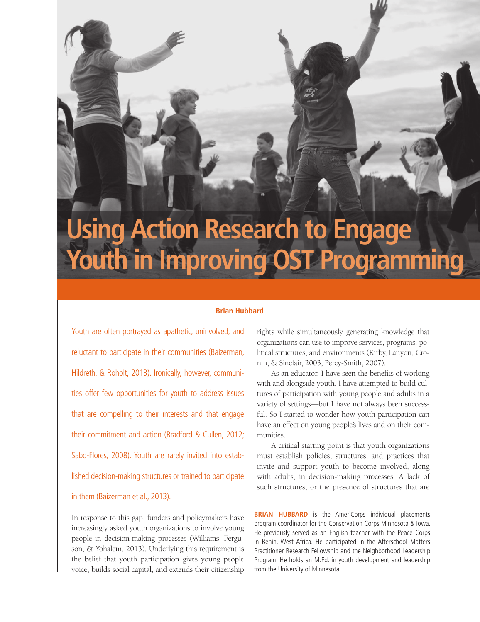# **Using Action Research to Engage Youth in Improving OST Programming**

## **Brian Hubbard**

Youth are often portrayed as apathetic, uninvolved, and reluctant to participate in their communities (Baizerman, Hildreth, & Roholt, 2013). Ironically, however, communities offer few opportunities for youth to address issues that are compelling to their interests and that engage their commitment and action (Bradford & Cullen, 2012; Sabo-Flores, 2008). Youth are rarely invited into established decision-making structures or trained to participate in them (Baizerman et al., 2013).

headline here

In response to this gap, funders and policymakers have increasingly asked youth organizations to involve young people in decision-making processes (Williams, Ferguson, & Yohalem, 2013). Underlying this requirement is the belief that youth participation gives young people voice, builds social capital, and extends their citizenship

rights while simultaneously generating knowledge that organizations can use to improve services, programs, political structures, and environments (Kirby, Lanyon, Cronin, & Sinclair, 2003; Percy-Smith, 2007).

As an educator, I have seen the benefits of working with and alongside youth. I have attempted to build cultures of participation with young people and adults in a variety of settings—but I have not always been successful. So I started to wonder how youth participation can have an effect on young people's lives and on their communities.

A critical starting point is that youth organizations must establish policies, structures, and practices that invite and support youth to become involved, along with adults, in decision-making processes. A lack of such structures, or the presence of structures that are

**BRIAN HUBBARD** is the AmeriCorps individual placements program coordinator for the Conservation Corps Minnesota & Iowa. He previously served as an English teacher with the Peace Corps in Benin, West Africa. He participated in the Afterschool Matters Practitioner Research Fellowship and the Neighborhood Leadership Program. He holds an M.Ed. in youth development and leadership from the University of Minnesota.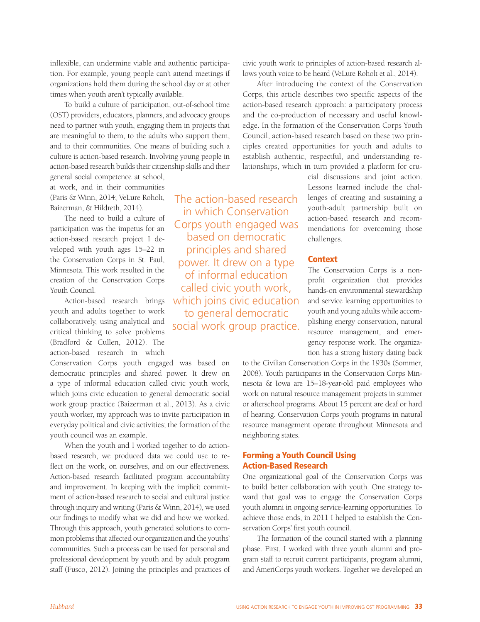inflexible, can undermine viable and authentic participation. For example, young people can't attend meetings if organizations hold them during the school day or at other times when youth aren't typically available.

To build a culture of participation, out-of-school time (OST) providers, educators, planners, and advocacy groups need to partner with youth, engaging them in projects that are meaningful to them, to the adults who support them, and to their communities. One means of building such a culture is action-based research. Involving young people in action-based research builds their citizenship skills and their

general social competence at school, at work, and in their communities (Paris & Winn, 2014; VeLure Roholt, Baizerman, & Hildreth, 2014).

The need to build a culture of participation was the impetus for an action-based research project I developed with youth ages 15–22 in the Conservation Corps in St. Paul, Minnesota. This work resulted in the creation of the Conservation Corps Youth Council.

Action-based research brings youth and adults together to work collaboratively, using analytical and critical thinking to solve problems (Bradford & Cullen, 2012). The action-based research in which

Conservation Corps youth engaged was based on democratic principles and shared power. It drew on a type of informal education called civic youth work, which joins civic education to general democratic social work group practice (Baizerman et al., 2013). As a civic youth worker, my approach was to invite participation in everyday political and civic activities; the formation of the youth council was an example.

When the youth and I worked together to do actionbased research, we produced data we could use to reflect on the work, on ourselves, and on our effectiveness. Action-based research facilitated program accountability and improvement. In keeping with the implicit commitment of action-based research to social and cultural justice through inquiry and writing (Paris & Winn, 2014), we used our findings to modify what we did and how we worked. Through this approach, youth generated solutions to common problems that affected our organization and the youths' communities. Such a process can be used for personal and professional development by youth and by adult program staff (Fusco, 2012). Joining the principles and practices of

The action-based research in which Conservation Corps youth engaged was based on democratic principles and shared power. It drew on a type of informal education called civic youth work, which joins civic education to general democratic social work group practice.

civic youth work to principles of action-based research allows youth voice to be heard (VeLure Roholt et al., 2014).

After introducing the context of the Conservation Corps, this article describes two specific aspects of the action-based research approach: a participatory process and the co-production of necessary and useful knowledge. In the formation of the Conservation Corps Youth Council, action-based research based on these two principles created opportunities for youth and adults to establish authentic, respectful, and understanding relationships, which in turn provided a platform for cru-

> cial discussions and joint action. Lessons learned include the challenges of creating and sustaining a youth-adult partnership built on action-based research and recommendations for overcoming those challenges.

## **Context**

The Conservation Corps is a nonprofit organization that provides hands-on environmental stewardship and service learning opportunities to youth and young adults while accomplishing energy conservation, natural resource management, and emergency response work. The organization has a strong history dating back

to the Civilian Conservation Corps in the 1930s (Sommer, 2008). Youth participants in the Conservation Corps Minnesota & Iowa are 15–18-year-old paid employees who work on natural resource management projects in summer or afterschool programs. About 15 percent are deaf or hard of hearing. Conservation Corps youth programs in natural resource management operate throughout Minnesota and neighboring states.

# Forming a Youth Council Using Action-Based Research

One organizational goal of the Conservation Corps was to build better collaboration with youth. One strategy toward that goal was to engage the Conservation Corps youth alumni in ongoing service-learning opportunities. To achieve those ends, in 2011 I helped to establish the Conservation Corps' first youth council.

The formation of the council started with a planning phase. First, I worked with three youth alumni and program staff to recruit current participants, program alumni, and AmeriCorps youth workers. Together we developed an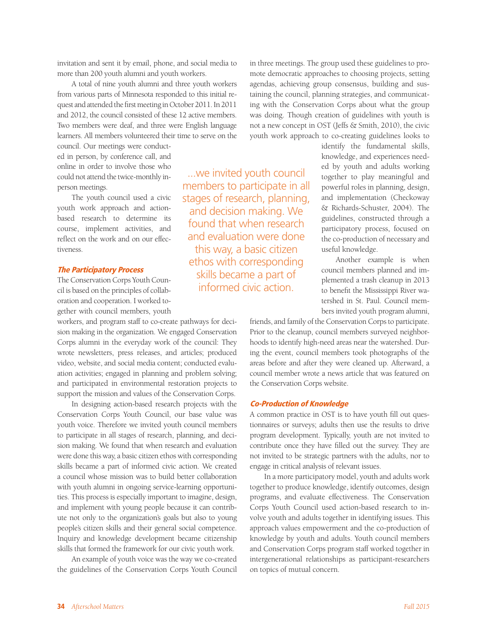invitation and sent it by email, phone, and social media to more than 200 youth alumni and youth workers.

A total of nine youth alumni and three youth workers from various parts of Minnesota responded to this initial request and attended the first meeting in October 2011. In 2011 and 2012, the council consisted of these 12 active members. Two members were deaf, and three were English language learners. All members volunteered their time to serve on the

council. Our meetings were conducted in person, by conference call, and online in order to involve those who could not attend the twice-monthly inperson meetings.

The youth council used a civic youth work approach and actionbased research to determine its course, implement activities, and reflect on the work and on our effectiveness.

#### The Participatory Process

The Conservation Corps Youth Council is based on the principles of collaboration and cooperation. I worked together with council members, youth

workers, and program staff to co-create pathways for decision making in the organization. We engaged Conservation Corps alumni in the everyday work of the council: They wrote newsletters, press releases, and articles; produced video, website, and social media content; conducted evaluation activities; engaged in planning and problem solving; and participated in environmental restoration projects to support the mission and values of the Conservation Corps.

In designing action-based research projects with the Conservation Corps Youth Council, our base value was youth voice. Therefore we invited youth council members to participate in all stages of research, planning, and decision making. We found that when research and evaluation were done this way, a basic citizen ethos with corresponding skills became a part of informed civic action. We created a council whose mission was to build better collaboration with youth alumni in ongoing service-learning opportunities. This process is especially important to imagine, design, and implement with young people because it can contribute not only to the organization's goals but also to young people's citizen skills and their general social competence. Inquiry and knowledge development became citizenship skills that formed the framework for our civic youth work.

An example of youth voice was the way we co-created the guidelines of the Conservation Corps Youth Council in three meetings. The group used these guidelines to promote democratic approaches to choosing projects, setting agendas, achieving group consensus, building and sustaining the council, planning strategies, and communicating with the Conservation Corps about what the group was doing. Though creation of guidelines with youth is not a new concept in OST (Jeffs & Smith, 2010), the civic youth work approach to co-creating guidelines looks to

...we invited youth council members to participate in all stages of research, planning, and decision making. We found that when research and evaluation were done this way, a basic citizen ethos with corresponding skills became a part of informed civic action.

identify the fundamental skills, knowledge, and experiences needed by youth and adults working together to play meaningful and powerful roles in planning, design, and implementation (Checkoway & Richards-Schuster, 2004). The guidelines, constructed through a participatory process, focused on the co-production of necessary and useful knowledge.

Another example is when council members planned and implemented a trash cleanup in 2013 to benefit the Mississippi River watershed in St. Paul. Council members invited youth program alumni,

friends, and family of the Conservation Corps to participate. Prior to the cleanup, council members surveyed neighborhoods to identify high-need areas near the watershed. During the event, council members took photographs of the areas before and after they were cleaned up. Afterward, a council member wrote a news article that was featured on the Conservation Corps website.

#### Co-Production of Knowledge

A common practice in OST is to have youth fill out questionnaires or surveys; adults then use the results to drive program development. Typically, youth are not invited to contribute once they have filled out the survey. They are not invited to be strategic partners with the adults, nor to engage in critical analysis of relevant issues.

In a more participatory model, youth and adults work together to produce knowledge, identify outcomes, design programs, and evaluate effectiveness. The Conservation Corps Youth Council used action-based research to involve youth and adults together in identifying issues. This approach values empowerment and the co-production of knowledge by youth and adults. Youth council members and Conservation Corps program staff worked together in intergenerational relationships as participant-researchers on topics of mutual concern.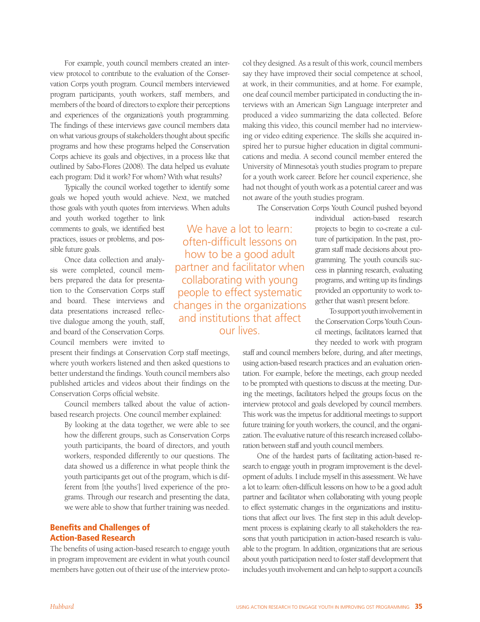For example, youth council members created an interview protocol to contribute to the evaluation of the Conservation Corps youth program. Council members interviewed program participants, youth workers, staff members, and members of the board of directors to explore their perceptions and experiences of the organization's youth programming. The findings of these interviews gave council members data on what various groups of stakeholders thought about specific programs and how these programs helped the Conservation Corps achieve its goals and objectives, in a process like that outlined by Sabo-Flores (2008). The data helped us evaluate each program: Did it work? For whom? With what results?

Typically the council worked together to identify some goals we hoped youth would achieve. Next, we matched those goals with youth quotes from interviews. When adults

and youth worked together to link comments to goals, we identified best practices, issues or problems, and possible future goals.

Once data collection and analysis were completed, council members prepared the data for presentation to the Conservation Corps staff and board. These interviews and data presentations increased reflective dialogue among the youth, staff, and board of the Conservation Corps. Council members were invited to

present their findings at Conservation Corp staff meetings, where youth workers listened and then asked questions to better understand the findings. Youth council members also published articles and videos about their findings on the Conservation Corps official website.

Council members talked about the value of actionbased research projects. One council member explained:

By looking at the data together, we were able to see how the different groups, such as Conservation Corps youth participants, the board of directors, and youth workers, responded differently to our questions. The data showed us a difference in what people think the youth participants get out of the program, which is different from [the youths'] lived experience of the programs. Through our research and presenting the data, we were able to show that further training was needed.

## Benefits and Challenges of Action-Based Research

The benefits of using action-based research to engage youth in program improvement are evident in what youth council members have gotten out of their use of the interview proto-

We have a lot to learn: often-difficult lessons on how to be a good adult partner and facilitator when collaborating with young people to effect systematic changes in the organizations and institutions that affect our lives.

col they designed. As a result of this work, council members say they have improved their social competence at school, at work, in their communities, and at home. For example, one deaf council member participated in conducting the interviews with an American Sign Language interpreter and produced a video summarizing the data collected. Before making this video, this council member had no interviewing or video editing experience. The skills she acquired inspired her to pursue higher education in digital communications and media. A second council member entered the University of Minnesota's youth studies program to prepare for a youth work career. Before her council experience, she had not thought of youth work as a potential career and was not aware of the youth studies program.

The Conservation Corps Youth Council pushed beyond

individual action-based research projects to begin to co-create a culture of participation. In the past, program staff made decisions about programming. The youth council's success in planning research, evaluating programs, and writing up its findings provided an opportunity to work together that wasn't present before.

To support youth involvement in the Conservation Corps Youth Council meetings, facilitators learned that they needed to work with program

staff and council members before, during, and after meetings, using action-based research practices and an evaluation orientation. For example, before the meetings, each group needed to be prompted with questions to discuss at the meeting. During the meetings, facilitators helped the groups focus on the interview protocol and goals developed by council members. This work was the impetus for additional meetings to support future training for youth workers, the council, and the organization. The evaluative nature of this research increased collaboration between staff and youth council members.

One of the hardest parts of facilitating action-based research to engage youth in program improvement is the development of adults. I include myself in this assessment. We have a lot to learn: often-difficult lessons on how to be a good adult partner and facilitator when collaborating with young people to effect systematic changes in the organizations and institutions that affect our lives. The first step in this adult development process is explaining clearly to all stakeholders the reasons that youth participation in action-based research is valuable to the program. In addition, organizations that are serious about youth participation need to foster staff development that includes youth involvement and can help to support a council's